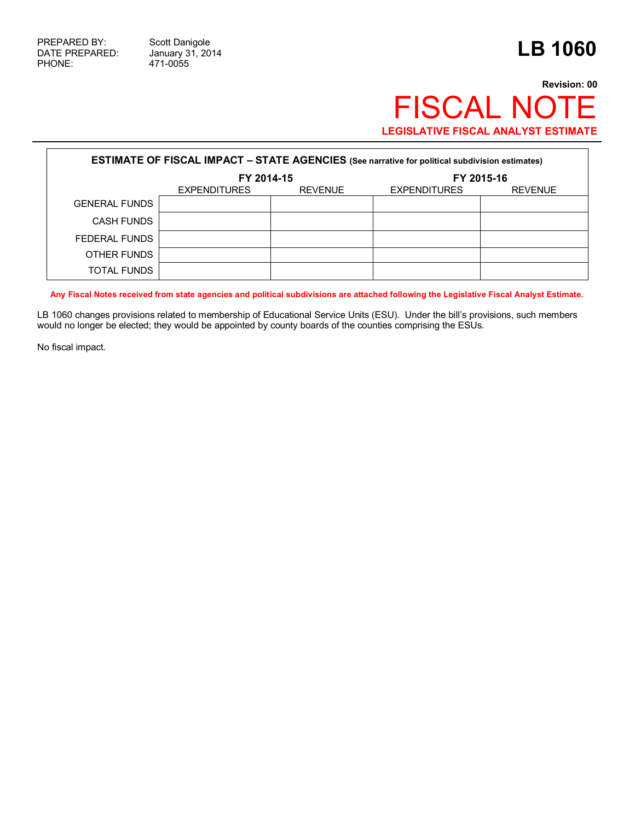471-0055

## **Revision: 00** FISCAL NOTE **LEGISLATIVE FISCAL ANALYST ESTIMATE**

| <b>ESTIMATE OF FISCAL IMPACT - STATE AGENCIES (See narrative for political subdivision estimates)</b> |                     |                |                     |                |  |
|-------------------------------------------------------------------------------------------------------|---------------------|----------------|---------------------|----------------|--|
|                                                                                                       | FY 2014-15          |                | FY 2015-16          |                |  |
|                                                                                                       | <b>EXPENDITURES</b> | <b>REVENUE</b> | <b>EXPENDITURES</b> | <b>REVENUE</b> |  |
| <b>GENERAL FUNDS</b>                                                                                  |                     |                |                     |                |  |
| <b>CASH FUNDS</b>                                                                                     |                     |                |                     |                |  |
| FEDERAL FUNDS                                                                                         |                     |                |                     |                |  |
| OTHER FUNDS                                                                                           |                     |                |                     |                |  |
| <b>TOTAL FUNDS</b>                                                                                    |                     |                |                     |                |  |

**Any Fiscal Notes received from state agencies and political subdivisions are attached following the Legislative Fiscal Analyst Estimate.**

LB 1060 changes provisions related to membership of Educational Service Units (ESU). Under the bill's provisions, such members would no longer be elected; they would be appointed by county boards of the counties comprising the ESUs.

No fiscal impact.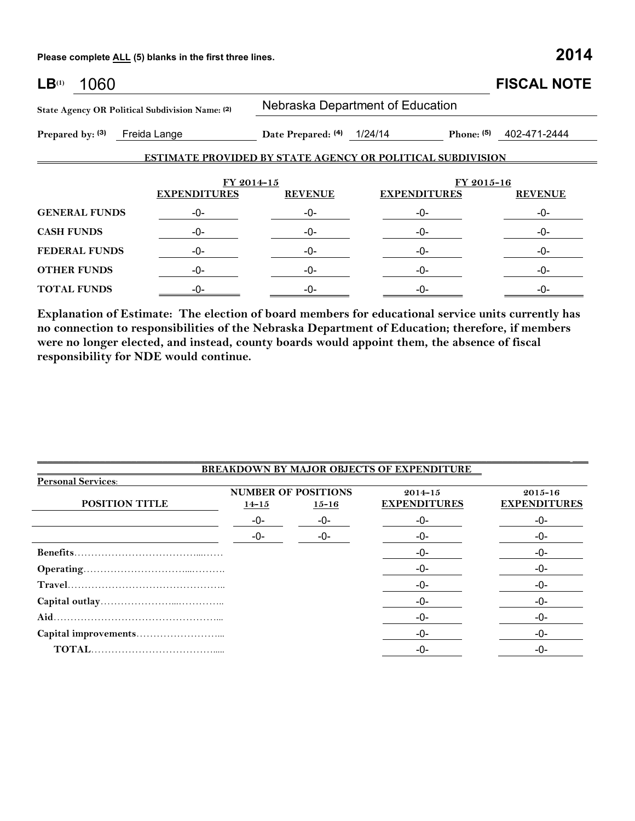**Please complete ALL (5) blanks in the first three lines. 2014**

| LB <sup>(1)</sup><br>1060                       |                     |                                  |                                                                   | <b>FISCAL NOTE</b>        |  |  |
|-------------------------------------------------|---------------------|----------------------------------|-------------------------------------------------------------------|---------------------------|--|--|
| State Agency OR Political Subdivision Name: (2) |                     | Nebraska Department of Education |                                                                   |                           |  |  |
| Prepared by: (3)<br>Freida Lange                |                     | Date Prepared: (4) 1/24/14       |                                                                   | Phone: $(5)$ 402-471-2444 |  |  |
|                                                 |                     |                                  | <b>ESTIMATE PROVIDED BY STATE AGENCY OR POLITICAL SUBDIVISION</b> |                           |  |  |
|                                                 |                     | FY 2014-15                       | FY 2015-16                                                        |                           |  |  |
|                                                 | <b>EXPENDITURES</b> | <b>REVENUE</b>                   | <b>EXPENDITURES</b>                                               | <b>REVENUE</b>            |  |  |
| <b>GENERAL FUNDS</b>                            | -0-                 | -0-                              | -0-                                                               | -0-                       |  |  |
| <b>CASH FUNDS</b>                               | -0-                 | -0-                              | -0-                                                               | -0-                       |  |  |
| <b>FEDERAL FUNDS</b>                            | -0-                 | -0-                              | -0-                                                               | -0-                       |  |  |
| <b>OTHER FUNDS</b>                              | -0-                 | -0-                              | -0-                                                               | -0-                       |  |  |
| <b>TOTAL FUNDS</b>                              | -0-                 | -0-                              | -0-                                                               | -0-                       |  |  |

**Explanation of Estimate: The election of board members for educational service units currently has no connection to responsibilities of the Nebraska Department of Education; therefore, if members were no longer elected, and instead, county boards would appoint them, the absence of fiscal responsibility for NDE would continue.**

| <b>BREAKDOWN BY MAJOR OBJECTS OF EXPENDITURE</b> |                                                      |       |                                    |                                    |  |
|--------------------------------------------------|------------------------------------------------------|-------|------------------------------------|------------------------------------|--|
| <b>Personal Services:</b>                        |                                                      |       |                                    |                                    |  |
| POSITION TITLE                                   | <b>NUMBER OF POSITIONS</b><br>$14 - 15$<br>$15 - 16$ |       | $2014 - 15$<br><b>EXPENDITURES</b> | $2015 - 16$<br><b>EXPENDITURES</b> |  |
|                                                  | -0-                                                  | -0-   | $-0-$                              | -0-                                |  |
|                                                  | -0-                                                  | $-0-$ | -0-                                | -0-                                |  |
|                                                  |                                                      |       | -0-                                | -0-                                |  |
|                                                  |                                                      |       | -0-                                | -0-                                |  |
|                                                  |                                                      |       | -0-                                | -0-                                |  |
|                                                  |                                                      |       | $-0-$                              | -0-                                |  |
|                                                  |                                                      |       | -0-                                | -0-                                |  |
|                                                  |                                                      |       | -0-                                | -0-                                |  |
|                                                  |                                                      |       | $-0-$                              | -0-                                |  |

\_\_\_\_\_\_\_\_\_\_\_\_\_\_\_\_\_\_\_\_\_\_\_\_\_\_\_\_\_\_\_\_\_\_\_\_\_\_\_\_\_\_\_\_\_\_\_\_\_\_\_\_\_\_\_\_\_\_\_\_\_\_\_\_\_\_\_\_\_\_\_\_\_\_\_\_\_\_\_\_\_\_\_\_\_\_\_\_\_\_\_\_\_\_\_\_\_\_\_\_\_\_ \_\_\_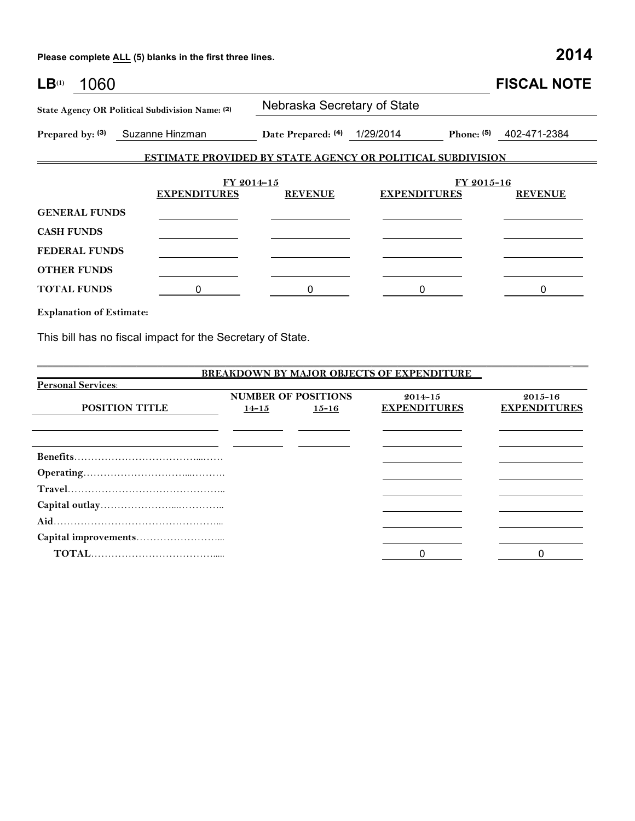**Please complete ALL (5) blanks in the first three lines. 2014**

| LB <sup>(1)</sup>    | 1060 |                                                                   |                              |                     |              | <b>FISCAL NOTE</b> |  |
|----------------------|------|-------------------------------------------------------------------|------------------------------|---------------------|--------------|--------------------|--|
|                      |      | State Agency OR Political Subdivision Name: (2)                   | Nebraska Secretary of State  |                     |              |                    |  |
|                      |      | Prepared by: (3) Suzanne Hinzman                                  | Date Prepared: (4) 1/29/2014 |                     | Phone: $(5)$ | 402-471-2384       |  |
|                      |      | <b>ESTIMATE PROVIDED BY STATE AGENCY OR POLITICAL SUBDIVISION</b> |                              |                     |              |                    |  |
|                      |      | FY 2014-15                                                        |                              |                     | FY 2015-16   |                    |  |
|                      |      | <b>EXPENDITURES</b>                                               | <b>REVENUE</b>               | <b>EXPENDITURES</b> |              | <b>REVENUE</b>     |  |
| <b>GENERAL FUNDS</b> |      |                                                                   |                              |                     |              |                    |  |
| <b>CASH FUNDS</b>    |      |                                                                   |                              |                     |              |                    |  |
| <b>FEDERAL FUNDS</b> |      |                                                                   |                              |                     |              |                    |  |
| <b>OTHER FUNDS</b>   |      |                                                                   |                              |                     |              |                    |  |
| <b>TOTAL FUNDS</b>   |      |                                                                   |                              |                     |              |                    |  |
|                      |      |                                                                   |                              |                     |              |                    |  |

**Explanation of Estimate:**

This bill has no fiscal impact for the Secretary of State.

|                           |                            |           | <b>BREAKDOWN BY MAJOR OBJECTS OF EXPENDITURE</b> |                     |
|---------------------------|----------------------------|-----------|--------------------------------------------------|---------------------|
| <b>Personal Services:</b> |                            |           |                                                  |                     |
|                           | <b>NUMBER OF POSITIONS</b> |           | $2014 - 15$                                      | $2015 - 16$         |
| <b>POSITION TITLE</b>     | $14 - 15$                  | $15 - 16$ | <b>EXPENDITURES</b>                              | <b>EXPENDITURES</b> |
|                           |                            |           |                                                  |                     |
|                           |                            |           |                                                  |                     |
|                           |                            |           |                                                  |                     |
|                           |                            |           |                                                  |                     |
|                           |                            |           |                                                  |                     |
|                           |                            |           |                                                  |                     |
|                           |                            |           |                                                  |                     |
|                           |                            |           |                                                  |                     |
|                           |                            |           |                                                  |                     |
|                           |                            |           |                                                  |                     |
|                           |                            |           | 0                                                |                     |

\_\_\_\_\_\_\_\_\_\_\_\_\_\_\_\_\_\_\_\_\_\_\_\_\_\_\_\_\_\_\_\_\_\_\_\_\_\_\_\_\_\_\_\_\_\_\_\_\_\_\_\_\_\_\_\_\_\_\_\_\_\_\_\_\_\_\_\_\_\_\_\_\_\_\_\_\_\_\_\_\_\_\_\_\_\_\_\_\_\_\_\_\_\_\_\_\_\_\_\_\_\_ \_\_\_